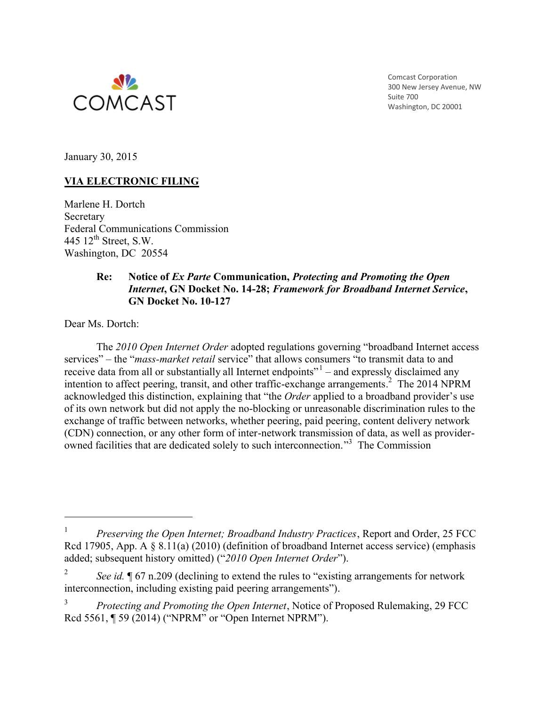

Comcast Corporation 300 New Jersey Avenue, NW Suite 700 Washington, DC 20001

January 30, 2015

# **VIA ELECTRONIC FILING**

Marlene H. Dortch Secretary Federal Communications Commission 445  $12^{\text{th}}$  Street, S.W. Washington, DC 20554

#### **Re: Notice of** *Ex Parte* **Communication,** *Protecting and Promoting the Open Internet***, GN Docket No. 14-28;** *Framework for Broadband Internet Service***, GN Docket No. 10-127**

Dear Ms. Dortch:

 $\overline{a}$ 

The *2010 Open Internet Order* adopted regulations governing "broadband Internet access services" – the "*mass-market retail* service" that allows consumers "to transmit data to and receive data from all or substantially all Internet endpoints"<sup>1</sup> – and expressly disclaimed any intention to affect peering, transit, and other traffic-exchange arrangements. 2 The 2014 NPRM acknowledged this distinction, explaining that "the *Order* applied to a broadband provider's use of its own network but did not apply the no-blocking or unreasonable discrimination rules to the exchange of traffic between networks, whether peering, paid peering, content delivery network (CDN) connection, or any other form of inter-network transmission of data, as well as providerowned facilities that are dedicated solely to such interconnection."<sup>3</sup> The Commission

<sup>1</sup> *Preserving the Open Internet; Broadband Industry Practices*, Report and Order, 25 FCC Rcd 17905, App. A § 8.11(a) (2010) (definition of broadband Internet access service) (emphasis added; subsequent history omitted) ("*2010 Open Internet Order*").

<sup>2</sup> *See id.*  $\sqrt{67}$  n.209 (declining to extend the rules to "existing arrangements for network interconnection, including existing paid peering arrangements").

<sup>3</sup> *Protecting and Promoting the Open Internet*, Notice of Proposed Rulemaking, 29 FCC Rcd 5561, ¶ 59 (2014) ("NPRM" or "Open Internet NPRM").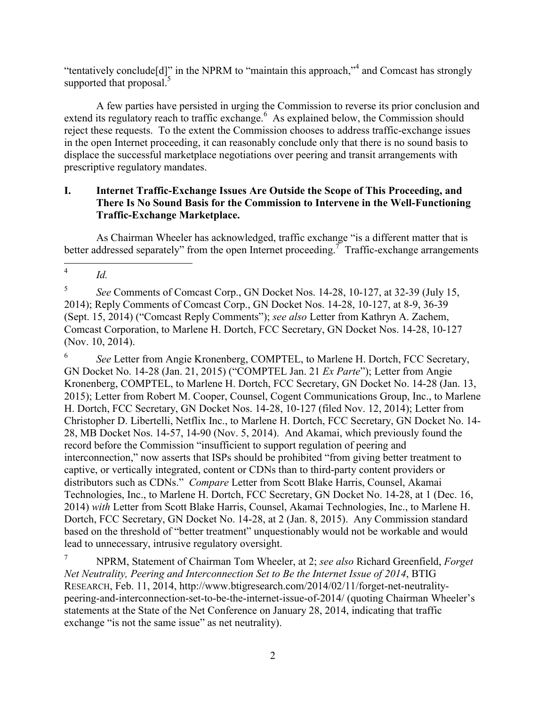"tentatively conclude[d]" in the NPRM to "maintain this approach,"<sup>4</sup> and Comcast has strongly supported that proposal.<sup>5</sup>

A few parties have persisted in urging the Commission to reverse its prior conclusion and extend its regulatory reach to traffic exchange.<sup>6</sup> As explained below, the Commission should reject these requests. To the extent the Commission chooses to address traffic-exchange issues in the open Internet proceeding, it can reasonably conclude only that there is no sound basis to displace the successful marketplace negotiations over peering and transit arrangements with prescriptive regulatory mandates.

# **I. Internet Traffic-Exchange Issues Are Outside the Scope of This Proceeding, and There Is No Sound Basis for the Commission to Intervene in the Well-Functioning Traffic-Exchange Marketplace.**

As Chairman Wheeler has acknowledged, traffic exchange "is a different matter that is better addressed separately" from the open Internet proceeding.<sup>7</sup> Traffic-exchange arrangements

 $\frac{1}{4}$ *Id.*

6 *See* Letter from Angie Kronenberg, COMPTEL, to Marlene H. Dortch, FCC Secretary, GN Docket No. 14-28 (Jan. 21, 2015) ("COMPTEL Jan. 21 *Ex Parte*"); Letter from Angie Kronenberg, COMPTEL, to Marlene H. Dortch, FCC Secretary, GN Docket No. 14-28 (Jan. 13, 2015); Letter from Robert M. Cooper, Counsel, Cogent Communications Group, Inc., to Marlene H. Dortch, FCC Secretary, GN Docket Nos. 14-28, 10-127 (filed Nov. 12, 2014); Letter from Christopher D. Libertelli, Netflix Inc., to Marlene H. Dortch, FCC Secretary, GN Docket No. 14- 28, MB Docket Nos. 14-57, 14-90 (Nov. 5, 2014). And Akamai, which previously found the record before the Commission "insufficient to support regulation of peering and interconnection," now asserts that ISPs should be prohibited "from giving better treatment to captive, or vertically integrated, content or CDNs than to third-party content providers or distributors such as CDNs." *Compare* Letter from Scott Blake Harris, Counsel, Akamai Technologies, Inc., to Marlene H. Dortch, FCC Secretary, GN Docket No. 14-28, at 1 (Dec. 16, 2014) *with* Letter from Scott Blake Harris, Counsel, Akamai Technologies, Inc., to Marlene H. Dortch, FCC Secretary, GN Docket No. 14-28, at 2 (Jan. 8, 2015). Any Commission standard based on the threshold of "better treatment" unquestionably would not be workable and would lead to unnecessary, intrusive regulatory oversight.

<sup>7</sup> NPRM, Statement of Chairman Tom Wheeler, at 2; *see also* Richard Greenfield, *Forget Net Neutrality, Peering and Interconnection Set to Be the Internet Issue of 2014*, BTIG RESEARCH, Feb. 11, 2014, http://www.btigresearch.com/2014/02/11/forget-net-neutralitypeering-and-interconnection-set-to-be-the-internet-issue-of-2014/ (quoting Chairman Wheeler's statements at the State of the Net Conference on January 28, 2014, indicating that traffic exchange "is not the same issue" as net neutrality).

<sup>5</sup> *See* Comments of Comcast Corp., GN Docket Nos. 14-28, 10-127, at 32-39 (July 15, 2014); Reply Comments of Comcast Corp., GN Docket Nos. 14-28, 10-127, at 8-9, 36-39 (Sept. 15, 2014) ("Comcast Reply Comments"); *see also* Letter from Kathryn A. Zachem, Comcast Corporation, to Marlene H. Dortch, FCC Secretary, GN Docket Nos. 14-28, 10-127 (Nov. 10, 2014).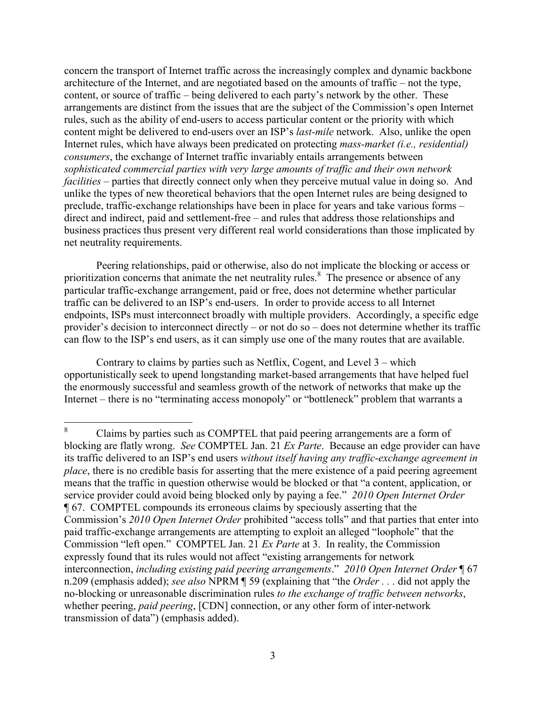concern the transport of Internet traffic across the increasingly complex and dynamic backbone architecture of the Internet, and are negotiated based on the amounts of traffic – not the type, content, or source of traffic – being delivered to each party's network by the other. These arrangements are distinct from the issues that are the subject of the Commission's open Internet rules, such as the ability of end-users to access particular content or the priority with which content might be delivered to end-users over an ISP's *last-mile* network. Also, unlike the open Internet rules, which have always been predicated on protecting *mass-market (i.e., residential) consumers*, the exchange of Internet traffic invariably entails arrangements between *sophisticated commercial parties with very large amounts of traffic and their own network facilities* – parties that directly connect only when they perceive mutual value in doing so. And unlike the types of new theoretical behaviors that the open Internet rules are being designed to preclude, traffic-exchange relationships have been in place for years and take various forms – direct and indirect, paid and settlement-free – and rules that address those relationships and business practices thus present very different real world considerations than those implicated by net neutrality requirements.

Peering relationships, paid or otherwise, also do not implicate the blocking or access or prioritization concerns that animate the net neutrality rules. $8$  The presence or absence of any particular traffic-exchange arrangement, paid or free, does not determine whether particular traffic can be delivered to an ISP's end-users. In order to provide access to all Internet endpoints, ISPs must interconnect broadly with multiple providers. Accordingly, a specific edge provider's decision to interconnect directly – or not do so – does not determine whether its traffic can flow to the ISP's end users, as it can simply use one of the many routes that are available.

Contrary to claims by parties such as Netflix, Cogent, and Level 3 – which opportunistically seek to upend longstanding market-based arrangements that have helped fuel the enormously successful and seamless growth of the network of networks that make up the Internet – there is no "terminating access monopoly" or "bottleneck" problem that warrants a

<sup>8</sup> Claims by parties such as COMPTEL that paid peering arrangements are a form of blocking are flatly wrong. *See* COMPTEL Jan. 21 *Ex Parte*. Because an edge provider can have its traffic delivered to an ISP's end users *without itself having any traffic-exchange agreement in place*, there is no credible basis for asserting that the mere existence of a paid peering agreement means that the traffic in question otherwise would be blocked or that "a content, application, or service provider could avoid being blocked only by paying a fee." *2010 Open Internet Order* ¶ 67. COMPTEL compounds its erroneous claims by speciously asserting that the Commission's *2010 Open Internet Order* prohibited "access tolls" and that parties that enter into paid traffic-exchange arrangements are attempting to exploit an alleged "loophole" that the Commission "left open." COMPTEL Jan. 21 *Ex Parte* at 3. In reality, the Commission expressly found that its rules would not affect "existing arrangements for network interconnection, *including existing paid peering arrangements*." *2010 Open Internet Order* ¶ 67 n.209 (emphasis added); *see also* NPRM ¶ 59 (explaining that "the *Order . . .* did not apply the no-blocking or unreasonable discrimination rules *to the exchange of traffic between networks*, whether peering, *paid peering*, [CDN] connection, or any other form of inter-network transmission of data") (emphasis added).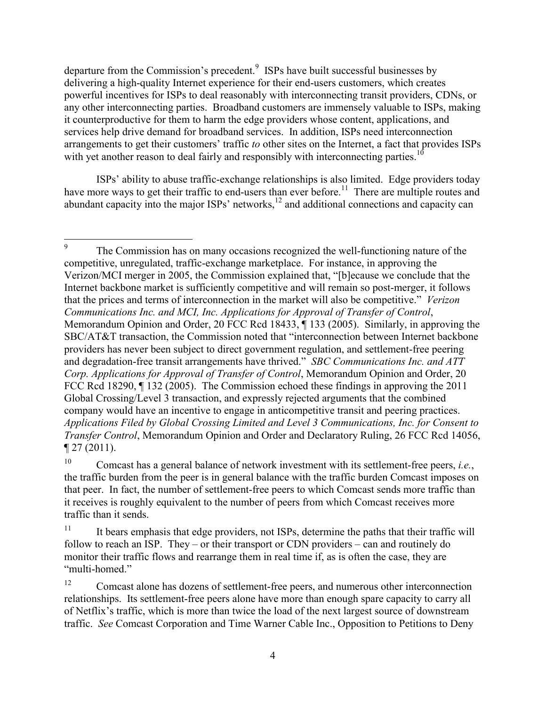departure from the Commission's precedent. $9$  ISPs have built successful businesses by delivering a high-quality Internet experience for their end-users customers, which creates powerful incentives for ISPs to deal reasonably with interconnecting transit providers, CDNs, or any other interconnecting parties. Broadband customers are immensely valuable to ISPs, making it counterproductive for them to harm the edge providers whose content, applications, and services help drive demand for broadband services. In addition, ISPs need interconnection arrangements to get their customers' traffic *to* other sites on the Internet, a fact that provides ISPs with yet another reason to deal fairly and responsibly with interconnecting parties.<sup>10</sup>

ISPs' ability to abuse traffic-exchange relationships is also limited. Edge providers today have more ways to get their traffic to end-users than ever before.<sup>11</sup> There are multiple routes and abundant capacity into the major ISPs' networks, $12$  and additional connections and capacity can

<sup>-&</sup>lt;br>9 The Commission has on many occasions recognized the well-functioning nature of the competitive, unregulated, traffic-exchange marketplace. For instance, in approving the Verizon/MCI merger in 2005, the Commission explained that, "[b]ecause we conclude that the Internet backbone market is sufficiently competitive and will remain so post-merger, it follows that the prices and terms of interconnection in the market will also be competitive." *Verizon Communications Inc. and MCI, Inc. Applications for Approval of Transfer of Control*, Memorandum Opinion and Order, 20 FCC Rcd 18433, ¶ 133 (2005). Similarly, in approving the SBC/AT&T transaction, the Commission noted that "interconnection between Internet backbone providers has never been subject to direct government regulation, and settlement-free peering and degradation-free transit arrangements have thrived." *SBC Communications Inc. and ATT Corp. Applications for Approval of Transfer of Control*, Memorandum Opinion and Order, 20 FCC Rcd 18290,  $\P$  132 (2005). The Commission echoed these findings in approving the 2011 Global Crossing/Level 3 transaction, and expressly rejected arguments that the combined company would have an incentive to engage in anticompetitive transit and peering practices. *Applications Filed by Global Crossing Limited and Level 3 Communications, Inc. for Consent to Transfer Control*, Memorandum Opinion and Order and Declaratory Ruling, 26 FCC Rcd 14056,  $\P$  27 (2011).

<sup>10</sup> Comcast has a general balance of network investment with its settlement-free peers, *i.e.*, the traffic burden from the peer is in general balance with the traffic burden Comcast imposes on that peer. In fact, the number of settlement-free peers to which Comcast sends more traffic than it receives is roughly equivalent to the number of peers from which Comcast receives more traffic than it sends.

 $11$  It bears emphasis that edge providers, not ISPs, determine the paths that their traffic will follow to reach an ISP. They – or their transport or CDN providers – can and routinely do monitor their traffic flows and rearrange them in real time if, as is often the case, they are "multi-homed."

<sup>&</sup>lt;sup>12</sup> Comcast alone has dozens of settlement-free peers, and numerous other interconnection relationships. Its settlement-free peers alone have more than enough spare capacity to carry all of Netflix's traffic, which is more than twice the load of the next largest source of downstream traffic. *See* Comcast Corporation and Time Warner Cable Inc., Opposition to Petitions to Deny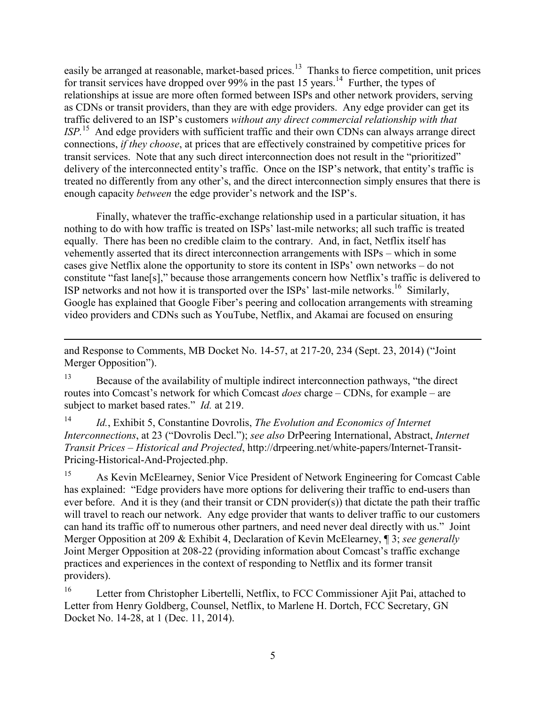easily be arranged at reasonable, market-based prices.<sup>13</sup> Thanks to fierce competition, unit prices for transit services have dropped over 99% in the past 15 years.<sup>14</sup> Further, the types of relationships at issue are more often formed between ISPs and other network providers, serving as CDNs or transit providers, than they are with edge providers. Any edge provider can get its traffic delivered to an ISP's customers *without any direct commercial relationship with that ISP.*<sup>15</sup> And edge providers with sufficient traffic and their own CDNs can always arrange direct connections, *if they choose*, at prices that are effectively constrained by competitive prices for transit services. Note that any such direct interconnection does not result in the "prioritized" delivery of the interconnected entity's traffic. Once on the ISP's network, that entity's traffic is treated no differently from any other's, and the direct interconnection simply ensures that there is enough capacity *between* the edge provider's network and the ISP's.

Finally, whatever the traffic-exchange relationship used in a particular situation, it has nothing to do with how traffic is treated on ISPs' last-mile networks; all such traffic is treated equally. There has been no credible claim to the contrary. And, in fact, Netflix itself has vehemently asserted that its direct interconnection arrangements with ISPs – which in some cases give Netflix alone the opportunity to store its content in ISPs' own networks – do not constitute "fast lane[s]," because those arrangements concern how Netflix's traffic is delivered to ISP networks and not how it is transported over the ISPs' last-mile networks.<sup>16</sup> Similarly, Google has explained that Google Fiber's peering and collocation arrangements with streaming video providers and CDNs such as YouTube, Netflix, and Akamai are focused on ensuring

and Response to Comments, MB Docket No. 14-57, at 217-20, 234 (Sept. 23, 2014) ("Joint Merger Opposition").

 $\overline{a}$ 

<sup>13</sup> Because of the availability of multiple indirect interconnection pathways, "the direct routes into Comcast's network for which Comcast *does* charge – CDNs, for example – are subject to market based rates." *Id.* at 219.

<sup>14</sup> *Id.*, Exhibit 5, Constantine Dovrolis, *The Evolution and Economics of Internet Interconnections*, at 23 ("Dovrolis Decl."); *see also* DrPeering International, Abstract, *Internet Transit Prices – Historical and Projected*, http://drpeering.net/white-papers/Internet-Transit-Pricing-Historical-And-Projected.php.

<sup>15</sup> As Kevin McElearney, Senior Vice President of Network Engineering for Comcast Cable has explained: "Edge providers have more options for delivering their traffic to end-users than ever before. And it is they (and their transit or CDN provider(s)) that dictate the path their traffic will travel to reach our network. Any edge provider that wants to deliver traffic to our customers can hand its traffic off to numerous other partners, and need never deal directly with us." Joint Merger Opposition at 209 & Exhibit 4, Declaration of Kevin McElearney, ¶ 3; *see generally*  Joint Merger Opposition at 208-22 (providing information about Comcast's traffic exchange practices and experiences in the context of responding to Netflix and its former transit providers).

<sup>16</sup> Letter from Christopher Libertelli, Netflix, to FCC Commissioner Ajit Pai, attached to Letter from Henry Goldberg, Counsel, Netflix, to Marlene H. Dortch, FCC Secretary, GN Docket No. 14-28, at 1 (Dec. 11, 2014).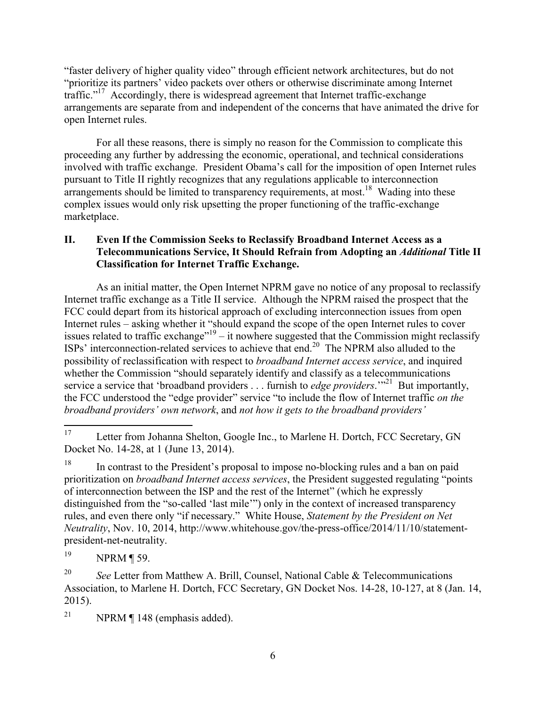"faster delivery of higher quality video" through efficient network architectures, but do not "prioritize its partners' video packets over others or otherwise discriminate among Internet traffic."<sup>17</sup> Accordingly, there is widespread agreement that Internet traffic-exchange arrangements are separate from and independent of the concerns that have animated the drive for open Internet rules.

For all these reasons, there is simply no reason for the Commission to complicate this proceeding any further by addressing the economic, operational, and technical considerations involved with traffic exchange. President Obama's call for the imposition of open Internet rules pursuant to Title II rightly recognizes that any regulations applicable to interconnection arrangements should be limited to transparency requirements, at most.<sup>18</sup> Wading into these complex issues would only risk upsetting the proper functioning of the traffic-exchange marketplace.

# **II. Even If the Commission Seeks to Reclassify Broadband Internet Access as a Telecommunications Service, It Should Refrain from Adopting an** *Additional* **Title II Classification for Internet Traffic Exchange.**

As an initial matter, the Open Internet NPRM gave no notice of any proposal to reclassify Internet traffic exchange as a Title II service. Although the NPRM raised the prospect that the FCC could depart from its historical approach of excluding interconnection issues from open Internet rules – asking whether it "should expand the scope of the open Internet rules to cover issues related to traffic exchange<sup> $19$ </sup> – it nowhere suggested that the Commission might reclassify ISPs' interconnection-related services to achieve that end.<sup>20</sup> The NPRM also alluded to the possibility of reclassification with respect to *broadband Internet access service*, and inquired whether the Commission "should separately identify and classify as a telecommunications service a service that 'broadband providers . . . furnish to *edge providers*.'"<sup>21</sup> But importantly, the FCC understood the "edge provider" service "to include the flow of Internet traffic *on the broadband providers' own network*, and *not how it gets to the broadband providers'* 

<sup>19</sup> NPRM ¶ 59.

<sup>17</sup> Letter from Johanna Shelton, Google Inc., to Marlene H. Dortch, FCC Secretary, GN Docket No. 14-28, at 1 (June 13, 2014).

<sup>&</sup>lt;sup>18</sup> In contrast to the President's proposal to impose no-blocking rules and a ban on paid prioritization on *broadband Internet access services*, the President suggested regulating "points of interconnection between the ISP and the rest of the Internet" (which he expressly distinguished from the "so-called 'last mile'") only in the context of increased transparency rules, and even there only "if necessary." White House, *Statement by the President on Net Neutrality*, Nov. 10, 2014, http://www.whitehouse.gov/the-press-office/2014/11/10/statementpresident-net-neutrality.

<sup>&</sup>lt;sup>20</sup> *See* Letter from Matthew A. Brill, Counsel, National Cable & Telecommunications Association, to Marlene H. Dortch, FCC Secretary, GN Docket Nos. 14-28, 10-127, at 8 (Jan. 14, 2015).

<sup>&</sup>lt;sup>21</sup> NPRM  $\P$  148 (emphasis added).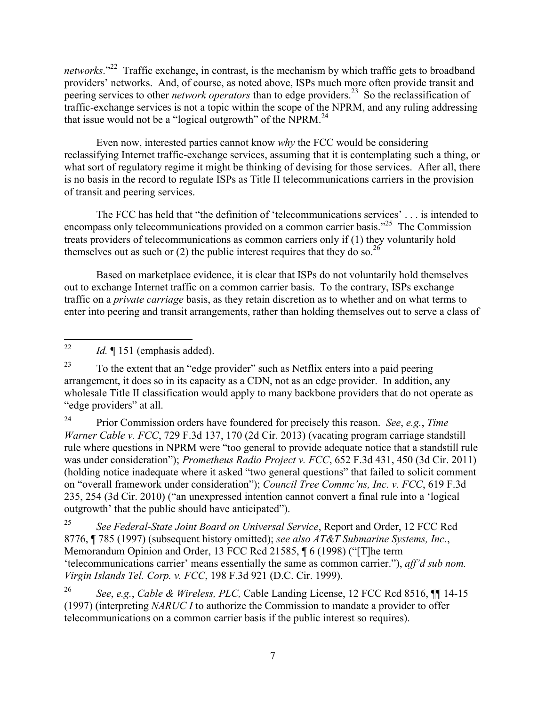networks."<sup>22</sup> Traffic exchange, in contrast, is the mechanism by which traffic gets to broadband providers' networks. And, of course, as noted above, ISPs much more often provide transit and peering services to other *network operators* than to edge providers.<sup>23</sup> So the reclassification of traffic-exchange services is not a topic within the scope of the NPRM, and any ruling addressing that issue would not be a "logical outgrowth" of the NPRM. $^{24}$ 

Even now, interested parties cannot know *why* the FCC would be considering reclassifying Internet traffic-exchange services, assuming that it is contemplating such a thing, or what sort of regulatory regime it might be thinking of devising for those services. After all, there is no basis in the record to regulate ISPs as Title II telecommunications carriers in the provision of transit and peering services.

The FCC has held that "the definition of 'telecommunications services' . . . is intended to encompass only telecommunications provided on a common carrier basis."<sup>25</sup> The Commission treats providers of telecommunications as common carriers only if (1) they voluntarily hold themselves out as such or (2) the public interest requires that they do so.<sup>26</sup>

Based on marketplace evidence, it is clear that ISPs do not voluntarily hold themselves out to exchange Internet traffic on a common carrier basis. To the contrary, ISPs exchange traffic on a *private carriage* basis, as they retain discretion as to whether and on what terms to enter into peering and transit arrangements, rather than holding themselves out to serve a class of

 $22$ *Id.* ¶ 151 (emphasis added).

 $23$  To the extent that an "edge provider" such as Netflix enters into a paid peering arrangement, it does so in its capacity as a CDN, not as an edge provider. In addition, any wholesale Title II classification would apply to many backbone providers that do not operate as "edge providers" at all.

<sup>24</sup> Prior Commission orders have foundered for precisely this reason. *See*, *e.g.*, *Time Warner Cable v. FCC*, 729 F.3d 137, 170 (2d Cir. 2013) (vacating program carriage standstill rule where questions in NPRM were "too general to provide adequate notice that a standstill rule was under consideration"); *Prometheus Radio Project v. FCC*, 652 F.3d 431, 450 (3d Cir. 2011) (holding notice inadequate where it asked "two general questions" that failed to solicit comment on "overall framework under consideration"); *Council Tree Commc'ns, Inc. v. FCC*, 619 F.3d 235, 254 (3d Cir. 2010) ("an unexpressed intention cannot convert a final rule into a 'logical outgrowth' that the public should have anticipated").

<sup>25</sup> *See Federal-State Joint Board on Universal Service*, Report and Order, 12 FCC Rcd 8776, ¶ 785 (1997) (subsequent history omitted); *see also AT&T Submarine Systems, Inc.*, Memorandum Opinion and Order, 13 FCC Rcd 21585, ¶ 6 (1998) ("[T]he term 'telecommunications carrier' means essentially the same as common carrier."), *aff'd sub nom. Virgin Islands Tel. Corp. v. FCC*, 198 F.3d 921 (D.C. Cir. 1999).

<sup>26</sup> *See*, *e.g.*, *Cable & Wireless, PLC,* Cable Landing License, 12 FCC Rcd 8516, ¶¶ 14-15 (1997) (interpreting *NARUC I* to authorize the Commission to mandate a provider to offer telecommunications on a common carrier basis if the public interest so requires).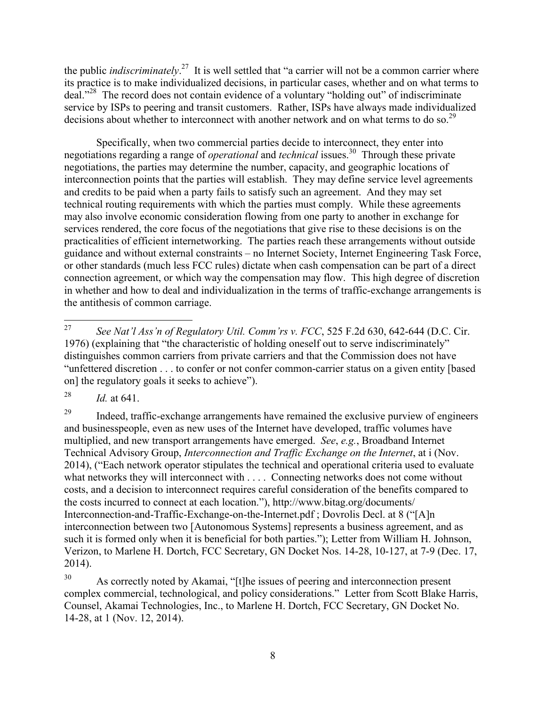the public *indiscriminately*.<sup>27</sup> It is well settled that "a carrier will not be a common carrier where its practice is to make individualized decisions, in particular cases, whether and on what terms to deal."<sup>28</sup> The record does not contain evidence of a voluntary "holding out" of indiscriminate service by ISPs to peering and transit customers. Rather, ISPs have always made individualized decisions about whether to interconnect with another network and on what terms to do so.<sup>29</sup>

Specifically, when two commercial parties decide to interconnect, they enter into negotiations regarding a range of *operational* and *technical* issues.<sup>30</sup> Through these private negotiations, the parties may determine the number, capacity, and geographic locations of interconnection points that the parties will establish. They may define service level agreements and credits to be paid when a party fails to satisfy such an agreement. And they may set technical routing requirements with which the parties must comply. While these agreements may also involve economic consideration flowing from one party to another in exchange for services rendered, the core focus of the negotiations that give rise to these decisions is on the practicalities of efficient internetworking. The parties reach these arrangements without outside guidance and without external constraints – no Internet Society, Internet Engineering Task Force, or other standards (much less FCC rules) dictate when cash compensation can be part of a direct connection agreement, or which way the compensation may flow. This high degree of discretion in whether and how to deal and individualization in the terms of traffic-exchange arrangements is the antithesis of common carriage.

<sup>28</sup> *Id.* at 641.

<sup>29</sup> Indeed, traffic-exchange arrangements have remained the exclusive purview of engineers and businesspeople, even as new uses of the Internet have developed, traffic volumes have multiplied, and new transport arrangements have emerged. *See*, *e.g.*, Broadband Internet Technical Advisory Group, *Interconnection and Traffic Exchange on the Internet*, at i (Nov. 2014), ("Each network operator stipulates the technical and operational criteria used to evaluate what networks they will interconnect with . . . . Connecting networks does not come without costs, and a decision to interconnect requires careful consideration of the benefits compared to the costs incurred to connect at each location."), http://www.bitag.org/documents/ Interconnection-and-Traffic-Exchange-on-the-Internet.pdf ; Dovrolis Decl. at 8 ("[A]n interconnection between two [Autonomous Systems] represents a business agreement, and as such it is formed only when it is beneficial for both parties."); Letter from William H. Johnson, Verizon, to Marlene H. Dortch, FCC Secretary, GN Docket Nos. 14-28, 10-127, at 7-9 (Dec. 17, 2014).

<sup>27</sup> <sup>27</sup> *See Nat'l Ass'n of Regulatory Util. Comm'rs v. FCC*, 525 F.2d 630, 642-644 (D.C. Cir. 1976) (explaining that "the characteristic of holding oneself out to serve indiscriminately" distinguishes common carriers from private carriers and that the Commission does not have "unfettered discretion . . . to confer or not confer common-carrier status on a given entity [based on] the regulatory goals it seeks to achieve").

<sup>&</sup>lt;sup>30</sup> As correctly noted by Akamai, "[t]he issues of peering and interconnection present complex commercial, technological, and policy considerations." Letter from Scott Blake Harris, Counsel, Akamai Technologies, Inc., to Marlene H. Dortch, FCC Secretary, GN Docket No. 14-28, at 1 (Nov. 12, 2014).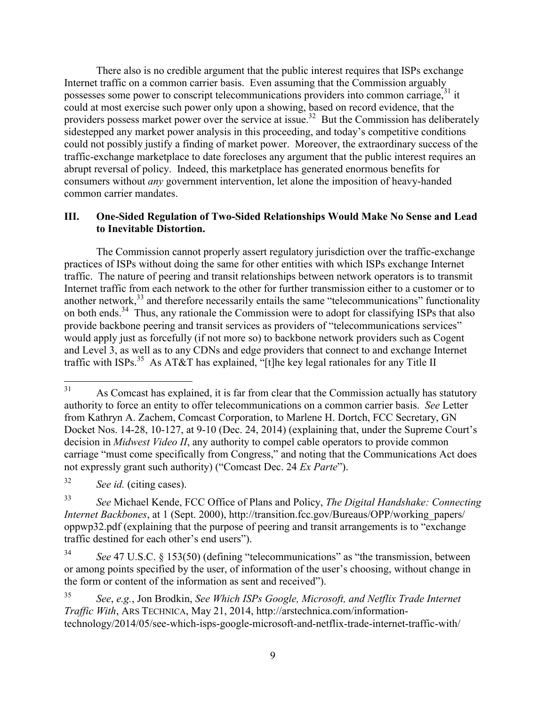There also is no credible argument that the public interest requires that ISPs exchange Internet traffic on a common carrier basis. Even assuming that the Commission arguably possesses some power to conscript telecommunications providers into common carriage,<sup>31</sup> it could at most exercise such power only upon a showing, based on record evidence, that the providers possess market power over the service at issue.<sup>32</sup> But the Commission has deliberately sidestepped any market power analysis in this proceeding, and today's competitive conditions could not possibly justify a finding of market power. Moreover, the extraordinary success of the traffic-exchange marketplace to date forecloses any argument that the public interest requires an abrupt reversal of policy. Indeed, this marketplace has generated enormous benefits for consumers without *any* government intervention, let alone the imposition of heavy-handed common carrier mandates.

#### **III. One-Sided Regulation of Two-Sided Relationships Would Make No Sense and Lead to Inevitable Distortion.**

The Commission cannot properly assert regulatory jurisdiction over the traffic-exchange practices of ISPs without doing the same for other entities with which ISPs exchange Internet traffic. The nature of peering and transit relationships between network operators is to transmit Internet traffic from each network to the other for further transmission either to a customer or to another network, $33$  and therefore necessarily entails the same "telecommunications" functionality on both ends.<sup>34</sup> Thus, any rationale the Commission were to adopt for classifying ISPs that also provide backbone peering and transit services as providers of "telecommunications services" would apply just as forcefully (if not more so) to backbone network providers such as Cogent and Level 3, as well as to any CDNs and edge providers that connect to and exchange Internet traffic with ISPs.<sup>35</sup> As AT&T has explained, "[t]he key legal rationales for any Title II

<sup>32</sup> *See id.* (citing cases).

<sup>31</sup> As Comcast has explained, it is far from clear that the Commission actually has statutory authority to force an entity to offer telecommunications on a common carrier basis. *See* Letter from Kathryn A. Zachem, Comcast Corporation, to Marlene H. Dortch, FCC Secretary, GN Docket Nos. 14-28, 10-127, at 9-10 (Dec. 24, 2014) (explaining that, under the Supreme Court's decision in *Midwest Video II*, any authority to compel cable operators to provide common carriage "must come specifically from Congress," and noting that the Communications Act does not expressly grant such authority) ("Comcast Dec. 24 *Ex Parte*").

<sup>33</sup> *See* Michael Kende, FCC Office of Plans and Policy, *The Digital Handshake: Connecting Internet Backbones*, at 1 (Sept. 2000), http://transition.fcc.gov/Bureaus/OPP/working\_papers/ oppwp32.pdf (explaining that the purpose of peering and transit arrangements is to "exchange traffic destined for each other's end users").

<sup>34</sup> *See* 47 U.S.C. § 153(50) (defining "telecommunications" as "the transmission, between or among points specified by the user, of information of the user's choosing, without change in the form or content of the information as sent and received").

<sup>35</sup> *See*, *e.g.*, Jon Brodkin, *See Which ISPs Google, Microsoft, and Netflix Trade Internet Traffic With*, ARS TECHNICA, May 21, 2014, http://arstechnica.com/informationtechnology/2014/05/see-which-isps-google-microsoft-and-netflix-trade-internet-traffic-with/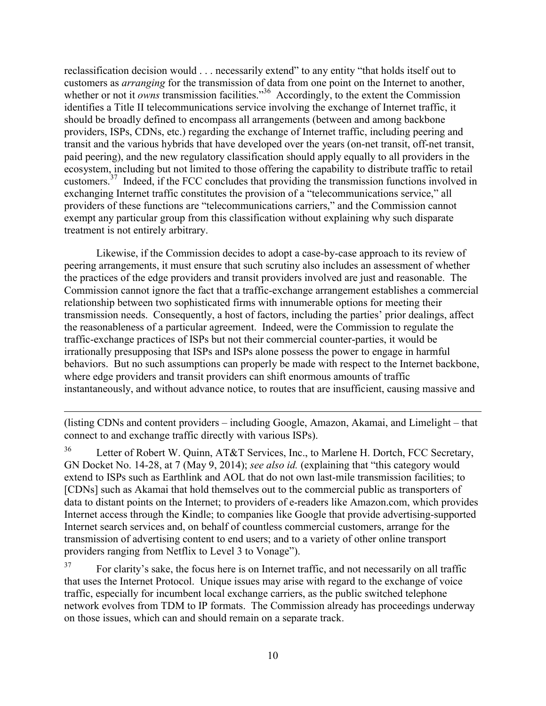reclassification decision would . . . necessarily extend" to any entity "that holds itself out to customers as *arranging* for the transmission of data from one point on the Internet to another, whether or not it *owns* transmission facilities."<sup>36</sup> Accordingly, to the extent the Commission identifies a Title II telecommunications service involving the exchange of Internet traffic, it should be broadly defined to encompass all arrangements (between and among backbone providers, ISPs, CDNs, etc.) regarding the exchange of Internet traffic, including peering and transit and the various hybrids that have developed over the years (on-net transit, off-net transit, paid peering), and the new regulatory classification should apply equally to all providers in the ecosystem, including but not limited to those offering the capability to distribute traffic to retail customers.<sup>37</sup> Indeed, if the FCC concludes that providing the transmission functions involved in exchanging Internet traffic constitutes the provision of a "telecommunications service," all providers of these functions are "telecommunications carriers," and the Commission cannot exempt any particular group from this classification without explaining why such disparate treatment is not entirely arbitrary.

Likewise, if the Commission decides to adopt a case-by-case approach to its review of peering arrangements, it must ensure that such scrutiny also includes an assessment of whether the practices of the edge providers and transit providers involved are just and reasonable. The Commission cannot ignore the fact that a traffic-exchange arrangement establishes a commercial relationship between two sophisticated firms with innumerable options for meeting their transmission needs. Consequently, a host of factors, including the parties' prior dealings, affect the reasonableness of a particular agreement. Indeed, were the Commission to regulate the traffic-exchange practices of ISPs but not their commercial counter-parties, it would be irrationally presupposing that ISPs and ISPs alone possess the power to engage in harmful behaviors. But no such assumptions can properly be made with respect to the Internet backbone, where edge providers and transit providers can shift enormous amounts of traffic instantaneously, and without advance notice, to routes that are insufficient, causing massive and

(listing CDNs and content providers – including Google, Amazon, Akamai, and Limelight – that connect to and exchange traffic directly with various ISPs).

 $\overline{a}$ 

<sup>36</sup> Letter of Robert W. Quinn, AT&T Services, Inc., to Marlene H. Dortch, FCC Secretary, GN Docket No. 14-28, at 7 (May 9, 2014); *see also id.* (explaining that "this category would extend to ISPs such as Earthlink and AOL that do not own last-mile transmission facilities; to [CDNs] such as Akamai that hold themselves out to the commercial public as transporters of data to distant points on the Internet; to providers of e-readers like Amazon.com, which provides Internet access through the Kindle; to companies like Google that provide advertising-supported Internet search services and, on behalf of countless commercial customers, arrange for the transmission of advertising content to end users; and to a variety of other online transport providers ranging from Netflix to Level 3 to Vonage").

<sup>37</sup> For clarity's sake, the focus here is on Internet traffic, and not necessarily on all traffic that uses the Internet Protocol. Unique issues may arise with regard to the exchange of voice traffic, especially for incumbent local exchange carriers, as the public switched telephone network evolves from TDM to IP formats. The Commission already has proceedings underway on those issues, which can and should remain on a separate track.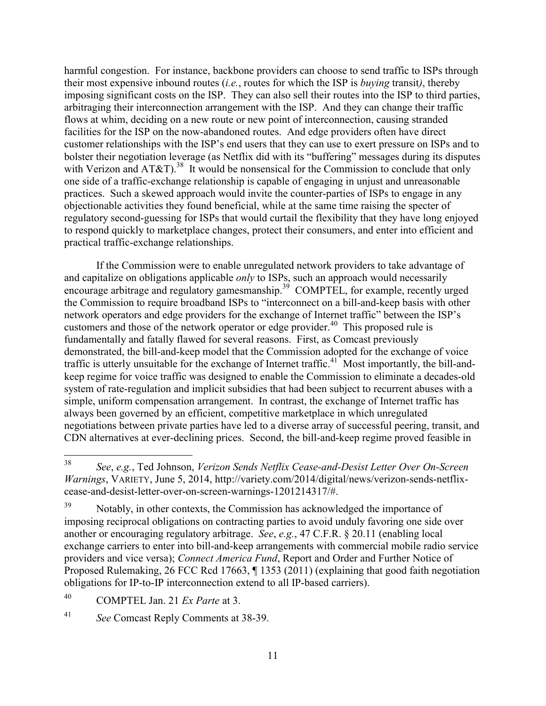harmful congestion. For instance, backbone providers can choose to send traffic to ISPs through their most expensive inbound routes (*i.e.*, routes for which the ISP is *buying* transit*)*, thereby imposing significant costs on the ISP. They can also sell their routes into the ISP to third parties, arbitraging their interconnection arrangement with the ISP. And they can change their traffic flows at whim, deciding on a new route or new point of interconnection, causing stranded facilities for the ISP on the now-abandoned routes. And edge providers often have direct customer relationships with the ISP's end users that they can use to exert pressure on ISPs and to bolster their negotiation leverage (as Netflix did with its "buffering" messages during its disputes with Verizon and AT&T).<sup>38</sup> It would be nonsensical for the Commission to conclude that only one side of a traffic-exchange relationship is capable of engaging in unjust and unreasonable practices. Such a skewed approach would invite the counter-parties of ISPs to engage in any objectionable activities they found beneficial, while at the same time raising the specter of regulatory second-guessing for ISPs that would curtail the flexibility that they have long enjoyed to respond quickly to marketplace changes, protect their consumers, and enter into efficient and practical traffic-exchange relationships.

If the Commission were to enable unregulated network providers to take advantage of and capitalize on obligations applicable *only* to ISPs, such an approach would necessarily encourage arbitrage and regulatory gamesmanship.<sup>39</sup> COMPTEL, for example, recently urged the Commission to require broadband ISPs to "interconnect on a bill-and-keep basis with other network operators and edge providers for the exchange of Internet traffic" between the ISP's customers and those of the network operator or edge provider.<sup>40</sup> This proposed rule is fundamentally and fatally flawed for several reasons. First, as Comcast previously demonstrated, the bill-and-keep model that the Commission adopted for the exchange of voice traffic is utterly unsuitable for the exchange of Internet traffic.<sup>41</sup> Most importantly, the bill-andkeep regime for voice traffic was designed to enable the Commission to eliminate a decades-old system of rate-regulation and implicit subsidies that had been subject to recurrent abuses with a simple, uniform compensation arrangement. In contrast, the exchange of Internet traffic has always been governed by an efficient, competitive marketplace in which unregulated negotiations between private parties have led to a diverse array of successful peering, transit, and CDN alternatives at ever-declining prices. Second, the bill-and-keep regime proved feasible in

<sup>38</sup> <sup>38</sup> *See*, *e.g.*, Ted Johnson, *Verizon Sends Netflix Cease-and-Desist Letter Over On-Screen Warnings*, VARIETY, June 5, 2014, http://variety.com/2014/digital/news/verizon-sends-netflixcease-and-desist-letter-over-on-screen-warnings-1201214317/#.

<sup>&</sup>lt;sup>39</sup> Notably, in other contexts, the Commission has acknowledged the importance of imposing reciprocal obligations on contracting parties to avoid unduly favoring one side over another or encouraging regulatory arbitrage. *See*, *e.g.*, 47 C.F.R. § 20.11 (enabling local exchange carriers to enter into bill-and-keep arrangements with commercial mobile radio service providers and vice versa); *Connect America Fund*, Report and Order and Further Notice of Proposed Rulemaking, 26 FCC Rcd 17663, ¶ 1353 (2011) (explaining that good faith negotiation obligations for IP-to-IP interconnection extend to all IP-based carriers).

<sup>40</sup> COMPTEL Jan. 21 *Ex Parte* at 3.

<sup>41</sup> *See* Comcast Reply Comments at 38-39.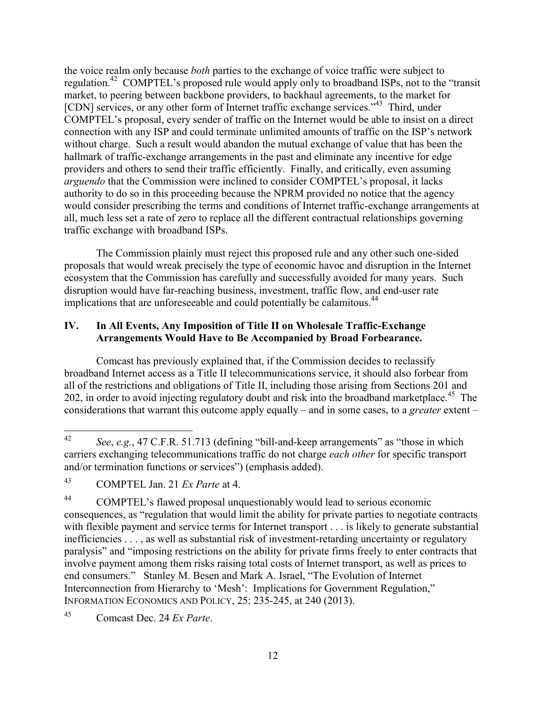the voice realm only because *both* parties to the exchange of voice traffic were subject to regulation.<sup>42</sup> COMPTEL's proposed rule would apply only to broadband ISPs, not to the "transit market, to peering between backbone providers, to backhaul agreements, to the market for [CDN] services, or any other form of Internet traffic exchange services."<sup>43</sup> Third, under COMPTEL's proposal, every sender of traffic on the Internet would be able to insist on a direct connection with any ISP and could terminate unlimited amounts of traffic on the ISP's network without charge. Such a result would abandon the mutual exchange of value that has been the hallmark of traffic-exchange arrangements in the past and eliminate any incentive for edge providers and others to send their traffic efficiently. Finally, and critically, even assuming *arguendo* that the Commission were inclined to consider COMPTEL's proposal, it lacks authority to do so in this proceeding because the NPRM provided no notice that the agency would consider prescribing the terms and conditions of Internet traffic-exchange arrangements at all, much less set a rate of zero to replace all the different contractual relationships governing traffic exchange with broadband ISPs.

The Commission plainly must reject this proposed rule and any other such one-sided proposals that would wreak precisely the type of economic havoc and disruption in the Internet ecosystem that the Commission has carefully and successfully avoided for many years. Such disruption would have far-reaching business, investment, traffic flow, and end-user rate implications that are unforeseeable and could potentially be calamitous.<sup>44</sup>

# **IV. In All Events, Any Imposition of Title II on Wholesale Traffic-Exchange Arrangements Would Have to Be Accompanied by Broad Forbearance.**

Comcast has previously explained that, if the Commission decides to reclassify broadband Internet access as a Title II telecommunications service, it should also forbear from all of the restrictions and obligations of Title II, including those arising from Sections 201 and 202, in order to avoid injecting regulatory doubt and risk into the broadband marketplace.<sup>45</sup> The considerations that warrant this outcome apply equally – and in some cases, to a *greater* extent –

<sup>42</sup> <sup>42</sup> *See*, *e.g.*, 47 C.F.R. 51.713 (defining "bill-and-keep arrangements" as "those in which carriers exchanging telecommunications traffic do not charge *each other* for specific transport and/or termination functions or services") (emphasis added).

<sup>43</sup> COMPTEL Jan. 21 *Ex Parte* at 4.

<sup>44</sup> COMPTEL's flawed proposal unquestionably would lead to serious economic consequences, as "regulation that would limit the ability for private parties to negotiate contracts with flexible payment and service terms for Internet transport . . . is likely to generate substantial inefficiencies . . . , as well as substantial risk of investment-retarding uncertainty or regulatory paralysis" and "imposing restrictions on the ability for private firms freely to enter contracts that involve payment among them risks raising total costs of Internet transport, as well as prices to end consumers." Stanley M. Besen and Mark A. Israel, "The Evolution of Internet Interconnection from Hierarchy to 'Mesh': Implications for Government Regulation," INFORMATION ECONOMICS AND POLICY, 25: 235-245, at 240 (2013).

<sup>45</sup> Comcast Dec. 24 *Ex Parte*.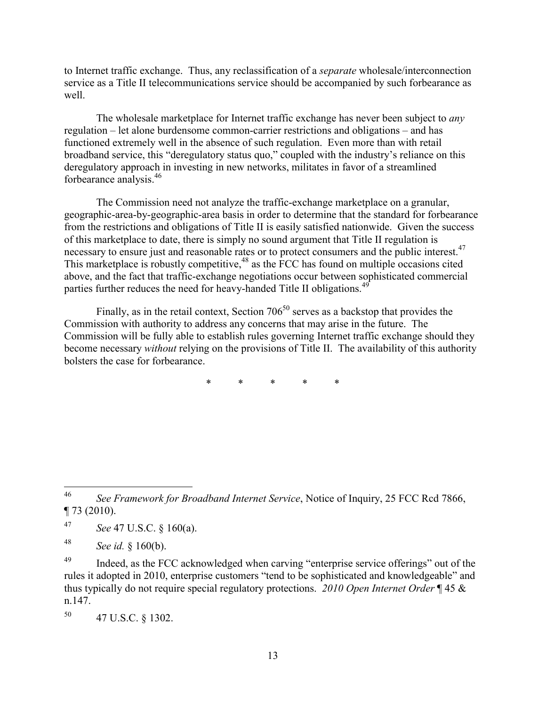to Internet traffic exchange. Thus, any reclassification of a *separate* wholesale/interconnection service as a Title II telecommunications service should be accompanied by such forbearance as well.

The wholesale marketplace for Internet traffic exchange has never been subject to *any*  regulation – let alone burdensome common-carrier restrictions and obligations – and has functioned extremely well in the absence of such regulation. Even more than with retail broadband service, this "deregulatory status quo," coupled with the industry's reliance on this deregulatory approach in investing in new networks, militates in favor of a streamlined forbearance analysis.<sup>46</sup>

The Commission need not analyze the traffic-exchange marketplace on a granular, geographic-area-by-geographic-area basis in order to determine that the standard for forbearance from the restrictions and obligations of Title II is easily satisfied nationwide. Given the success of this marketplace to date, there is simply no sound argument that Title II regulation is necessary to ensure just and reasonable rates or to protect consumers and the public interest.<sup>47</sup> This marketplace is robustly competitive, $48$  as the FCC has found on multiple occasions cited above, and the fact that traffic-exchange negotiations occur between sophisticated commercial parties further reduces the need for heavy-handed Title II obligations.<sup>49</sup>

Finally, as in the retail context, Section  $706^{50}$  serves as a backstop that provides the Commission with authority to address any concerns that may arise in the future. The Commission will be fully able to establish rules governing Internet traffic exchange should they become necessary *without* relying on the provisions of Title II. The availability of this authority bolsters the case for forbearance.

\* \* \* \* \*

<sup>47</sup> *See* 47 U.S.C. § 160(a).

<sup>48</sup> *See id.* § 160(b).

<sup>49</sup> Indeed, as the FCC acknowledged when carving "enterprise service offerings" out of the rules it adopted in 2010, enterprise customers "tend to be sophisticated and knowledgeable" and thus typically do not require special regulatory protections. *2010 Open Internet Order* ¶ 45 & n.147.

<sup>50</sup> 47 U.S.C. § 1302.

<sup>46</sup> <sup>46</sup> *See Framework for Broadband Internet Service*, Notice of Inquiry, 25 FCC Rcd 7866, ¶ 73 (2010).